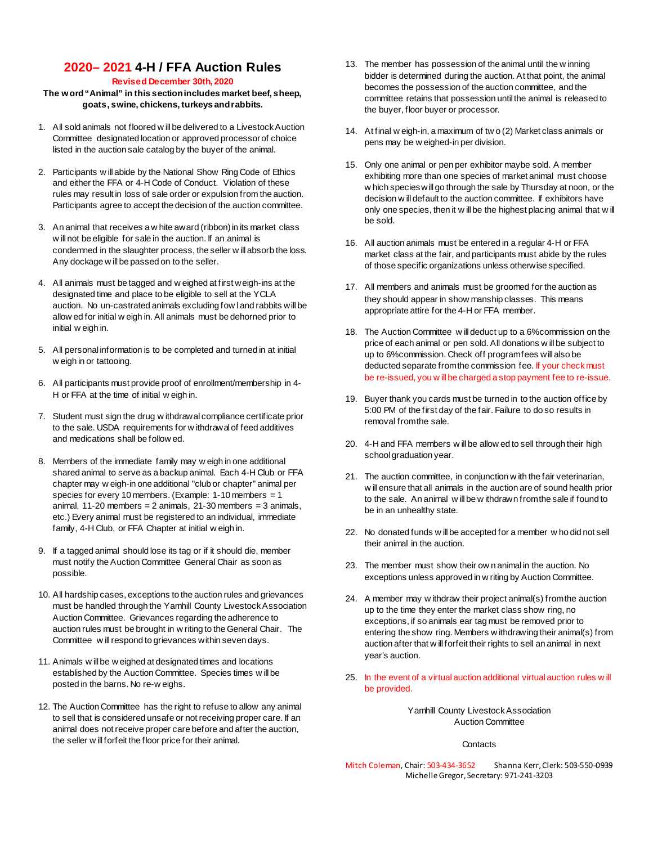# **2020– 2021 4-H / FFA Auction Rules**

#### **Revised December 30th, 2020**

#### **The word "Animal" in this section includes market beef, sheep, goats, swine, chickens, turkeys and rabbits.**

- 1. All sold animals not floored w ill be delivered to a Livestock Auction Committee designated location or approved processor of choice listed in the auction sale catalog by the buyer of the animal.
- 2. Participants w ill abide by the National Show Ring Code of Ethics and either the FFA or 4-H Code of Conduct. Violation of these rules may result in loss of sale order or expulsion from the auction. Participants agree to accept the decision of the auction committee.
- 3. An animal that receives a w hite award (ribbon) in its market class w ill not be eligible for sale in the auction. If an animal is condemned in the slaughter process, the seller w ill absorb the loss. Any dockage w ill be passed on to the seller.
- 4. All animals must be tagged and w eighed at first weigh-ins at the designated time and place to be eligible to sell at the YCLA auction. No un-castrated animals excluding fow l and rabbits will be allow ed for initial w eigh in. All animals must be dehorned prior to initial w eigh in.
- 5. All personal information is to be completed and turned in at initial w eigh in or tattooing.
- 6. All participants must provide proof of enrollment/membership in 4- H or FFA at the time of initial w eigh in.
- 7. Student must sign the drug w ithdrawal compliance certificate prior to the sale. USDA requirements for w ithdrawal of feed additives and medications shall be follow ed.
- 8. Members of the immediate family may w eigh in one additional shared animal to serve as a backup animal. Each 4-H Club or FFA chapter may w eigh-in one additional "club or chapter" animal per species for every 10 members. (Example: 1-10 members = 1 animal,  $11-20$  members = 2 animals,  $21-30$  members = 3 animals, etc.) Every animal must be registered to an individual, immediate family, 4-H Club, or FFA Chapter at initial w eigh in.
- 9. If a tagged animal should lose its tag or if it should die, member must notify the Auction Committee General Chair as soon as possible.
- 10. All hardship cases, exceptions to the auction rules and grievances must be handled through the Yamhill County Livestock Association Auction Committee. Grievances regarding the adherence to auction rules must be brought in w riting to the General Chair. The Committee w ill respond to grievances within seven days.
- 11. Animals w ill be w eighed at designated times and locations established by the Auction Committee. Species times w ill be posted in the barns. No re-w eighs.
- 12. The Auction Committee has the right to refuse to allow any animal to sell that is considered unsafe or not receiving proper care. If an animal does not receive proper care before and after the auction, the seller w ill forfeit the floor price for their animal.
- 13. The member has possession of the animal until the w inning bidder is determined during the auction. At that point, the animal becomes the possession of the auction committee, and the committee retains that possession until the animal is released to the buyer, floor buyer or processor.
- 14. At final w eigh-in, a maximum of tw o (2) Market class animals or pens may be w eighed-in per division.
- 15. Only one animal or pen per exhibitor maybe sold. A member exhibiting more than one species of market animal must choose w hich species will go through the sale by Thursday at noon, or the decision w ill default to the auction committee. If exhibitors have only one species, then it w ill be the highest placing animal that w ill be sold.
- 16. All auction animals must be entered in a regular 4-H or FFA market class at the fair, and participants must abide by the rules of those specific organizations unless otherwise specified.
- 17. All members and animals must be groomed for the auction as they should appear in show manship classes. This means appropriate attire for the 4-H or FFA member.
- 18. The Auction Committee w ill deduct up to a 6%commission on the price of each animal or pen sold. All donations w ill be subject to up to 6%commission. Check off program fees will also be deducted separate from the commission fee. If your check must be re-issued, you w ill be charged a stop payment fee to re-issue.
- 19. Buyer thank you cards must be turned in to the auction office by 5:00 PM of the first day of the fair. Failure to do so results in removal from the sale.
- 20. 4-H and FFA members w ill be allow ed to sell through their high school graduation year.
- 21. The auction committee, in conjunction w ith the fair veterinarian, w ill ensure that all animals in the auction are of sound health prior to the sale. An animal w ill be w ithdrawn from the sale if found to be in an unhealthy state.
- 22. No donated funds w ill be accepted for a member w ho did not sell their animal in the auction.
- 23. The member must show their ow n animal in the auction. No exceptions unless approved in w riting by Auction Committee.
- 24. A member may w ithdraw their project animal(s) from the auction up to the time they enter the market class show ring, no exceptions, if so animals ear tag must be removed prior to entering the show ring. Members w ithdrawing their animal(s) from auction after that w ill forfeit their rights to sell an animal in next year's auction.
- 25. In the event of a virtual auction additional virtual auction rules w ill be provided.

Yamhill County Livestock Association Auction Committee

**Contacts** 

Mitch Coleman, Chair: 503-434-3652 Shanna Kerr, Clerk: 503-550-0939 Michelle Gregor, Secretary: 971-241-3203